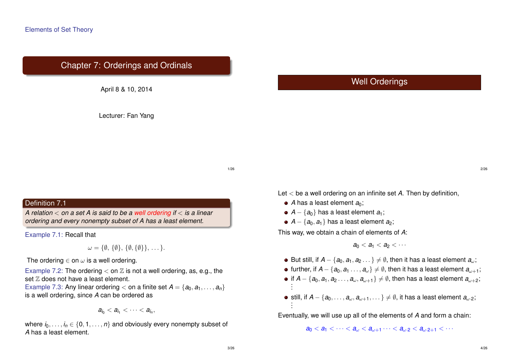# Chapter 7: Orderings and Ordinals



Lecturer: Fan Yang

# Well Orderings

1/26

#### Definition 7.1

*A relation* < *on a set A is said to be a well ordering if* < *is a linear ordering and every nonempty subset of A has a least element.*

Example 7.1: Recall that

 $\omega = {\emptyset, {\emptyset}, {\emptyset}, {\emptyset}, {\emptyset}, \ldots}.$ 

The ordering  $\in$  on  $\omega$  is a well ordering.

Example 7.2: The ordering  $\lt$  on  $\mathbb Z$  is not a well ordering, as, e.g., the set  $Z$  does not have a least element.

Example 7.3: Any linear ordering  $\lt$  on a finite set  $A = \{a_0, a_1, \ldots, a_n\}$ is a well ordering, since *A* can be ordered as

$$
a_{i_0} < a_{i_1} < \cdots < a_{i_n},
$$

where  $i_0, \ldots, i_n \in \{0, 1, \ldots, n\}$  and obviously every nonempty subset of *A* has a least element.

Let < be a well ordering on an infinite set *A*. Then by definition,

- A has a least element  $a_0$ :
- $\bullet$  *A* − { $a_0$ } has a least element  $a_1$ ;
- $\bullet$  *A* − { $a_0$ , $a_1$ } has a least element  $a_2$ ;

This way, we obtain a chain of elements of *A*:

 $a_0 < a_1 < a_2 < \cdots$ 

 $\bullet$  But still, if *A* − { $a_0, a_1, a_2, \ldots$ }  $\neq \emptyset$ , then it has a least element  $a_0$ ;

- $\bullet$  further, if *A* − { $a_0, a_1, \ldots, a_n$ }  $\neq \emptyset$ , then it has a least element  $a_{n+1}$ ;
- if  $\mathcal{A} \{a_0, a_1, a_2 \dots, a_{\omega}, a_{\omega+1}\} \neq \emptyset$ , then has a least element  $a_{\omega+2};$ . .
- still, if  $A \{a_0, \ldots, a_{\omega}, a_{\omega + 1}, \ldots\} \neq \emptyset$ , it has a least element  $a_{\omega \cdot 2}$ ; . .

Eventually, we will use up all of the elements of *A* and form a chain:

 $a_0 < a_1 < \cdots < a_n < a_{n+1} \cdots < a_{n,2} < a_{n+1} < \cdots$ 

2/26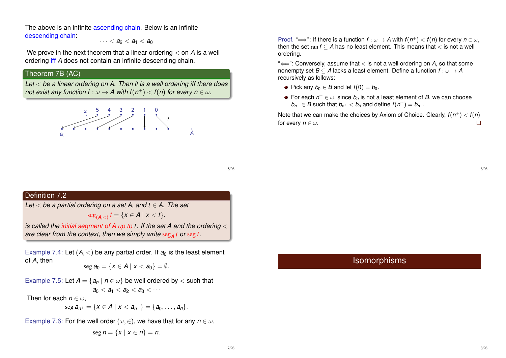The above is an infinite ascending chain. Below is an infinite descending chain:

 $\cdots < a_2 < a_1 < a_0$ 

We prove in the next theorem that a linear ordering < on *A* is a well ordering iff *A* does not contain an infinite descending chain.

## Theorem 7B (AC)

*Let* < *be a linear ordering on A. Then it is a well ordering iff there does*  $\tau$  *not exist any function f* :  $\omega \rightarrow$  *A with f* $(n^{+})$  *< f* $(n)$  *for every n*  $\in$  $\omega$ *.* 



Proof. " $\Longrightarrow$ ": If there is a function  $f : \omega \to A$  with  $f(n^+) < f(n)$  for every  $n \in \omega$ , then the set ran  $f \subset A$  has no least element. This means that  $\lt$  is not a well ordering.

"⇐=": Conversely, assume that < is not a well ordering on *A*, so that some nonempty set  $B \subseteq A$  lacks a least element. Define a function  $f : \omega \to A$ recursively as follows:

- Pick any  $b_0 \in B$  and let  $f(0) = b_0$ .
- For each  $n^+ \in \omega$ , since  $b_n$  is not a least element of  $B$ , we can choose  $b_{n^+} \in B$  such that  $b_{n^+} < b_n$  and define  $f(n^+) = b_{n^+}.$

Note that we can make the choices by Axiom of Choice. Clearly, *f*(*n* <sup>+</sup>) < *f*(*n*) for every  $n \in \omega$ .  $\Box$ 

5/26

#### Definition 7.2

*Let* < *be a partial ordering on a set A, and t* ∈ *A. The set*

$$
\operatorname{seg}_{(A,<)} t = \{x \in A \mid x < t\}.
$$

*is called the initial segment of A up to t. If the set A and the ordering* < *are clear from the context, then we simply write* seg*<sup>A</sup> t or* seg *t.*

Example 7.4: Let  $(A, <)$  be any partial order. If  $a_0$  is the least element of *A*, then

$$
\text{seg } a_0 = \{x \in A \mid x < a_0\} = \emptyset.
$$

Example 7.5: Let  $A = \{a_n \mid n \in \omega\}$  be well ordered by  $\lt$  such that  $a_0 < a_1 < a_2 < a_3 < \cdots$ 

Then for each  $n \in \omega$ .

$$
\operatorname{seg} a_{n^+} = \{ x \in A \mid x < a_{n^+} \} = \{ a_0, \ldots, a_n \}.
$$

Example 7.6: For the well order ( $\omega \in$ ), we have that for any  $n \in \omega$ ,

$$
\operatorname{seg} n = \{x \mid x \in n\} = n.
$$

6/26

# Isomorphisms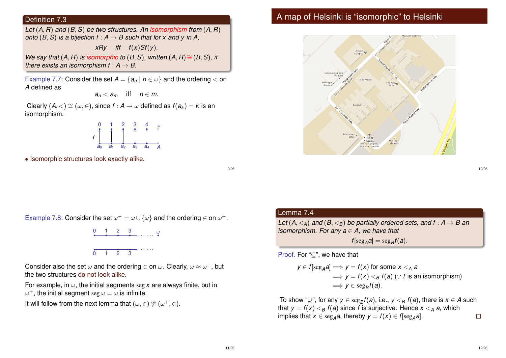#### Definition 7.3

*Let* (*A*, *R*) *and* (*B*, *S*) *be two structures. An isomorphism from* (*A*, *R*) *onto* ( $B$ ,  $S$ ) *is a bijection*  $f : A \rightarrow B$  *such that for x and y in A.* 

$$
xRy \quad \text{iff} \quad f(x)Sf(y).
$$

*We say that*  $(A, R)$  *is isomorphic to*  $(B, S)$ *, written*  $(A, R) \cong (B, S)$ *, if there exists an isomorphism*  $f : A \rightarrow B$ *.* 

Example 7.7: Consider the set  $A = \{a_n \mid n \in \omega\}$  and the ordering  $\lt$  on *A* defined as

$$
a_n
$$

Clearly  $(A, \leq) \cong (\omega, \in)$ , since  $f : A \to \omega$  defined as  $f(a_k) = k$  is an isomorphism.



• Isomorphic structures look exactly alike.

9/26

## A map of Helsinki is "isomorphic" to Helsinki



Example 7.8: Consider the set  $\omega^+ = \omega \cup {\{\omega\}}$  and the ordering  $\in$  on  $\omega^+$ .



Consider also the set  $\omega$  and the ordering  $\in$  on  $\omega.$  Clearly,  $\omega \approx \omega^+,$  but the two structures do not look alike.

For example, in  $\omega$ , the initial segments seg x are always finite, but in  $\omega^+$ , the initial segment  $\operatorname{seg}\omega=\omega$  is infinite.

 $0 \quad 1 \quad 2 \quad 3$ 

It will follow from the next lemma that  $(\omega, \in) \not\cong (\omega^+, \in)$ .

#### Lemma 7.4

*Let*  $(A, \leq_A)$  *and*  $(B, \leq_B)$  *be partially ordered sets, and*  $f : A \rightarrow B$  *an isomorphism. For any a* ∈ *A, we have that*

 $f[\text{seg}_A a] = \text{seg}_B f(a).$ 

Proof. For "⊆", we have that

$$
y \in f[\text{seg}_A a] \Longrightarrow y = f(x) \text{ for some } x <_A a
$$
  
\n
$$
\Longrightarrow y = f(x) <_B f(a) \ (\because f \text{ is an isomorphism})
$$
  
\n
$$
\Longrightarrow y \in \text{seg}_B f(a).
$$

To show "⊇", for any  $y \in \text{seg}_Bf(a)$ , i.e.,  $y <_\mathcal{B} f(a)$ , there is  $x \in A$  such that  $y = f(x) <_{B} f(a)$  since *f* is surjective. Hence  $x <_{A} a$ , which implies that  $x \in \text{seg}_A a$ , thereby  $y = f(x) \in f[\text{seg}_A a]$ .  $\Box$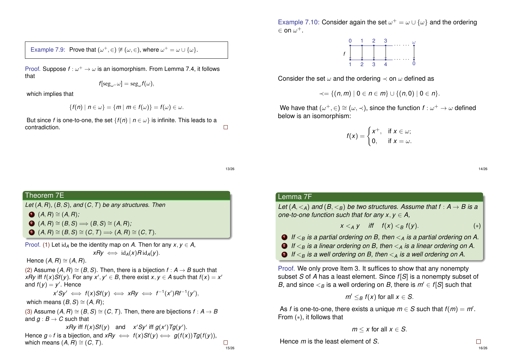Example 7.9: Prove that  $(\omega^+, \in) \not\cong (\omega, \in)$ , where  $\omega^+ = \omega \cup {\{\omega\}}$ .

Proof. Suppose  $f: \omega^+ \to \omega$  is an isomorphism. From Lemma 7.4, it follows that

$$
f[\mathrm{seg}_{\omega^+}\omega]=\mathrm{seg}_{\omega}f(\omega),
$$

which implies that

$$
\{f(n) \mid n \in \omega\} = \{m \mid m \in f(\omega)\} = f(\omega) \in \omega.
$$

But since *f* is one-to-one, the set  $\{f(n) \mid n \in \omega\}$  is infinite. This leads to a contradiction.

Example 7.10: Consider again the set  $\omega^+ = \omega \cup {\{\omega\}}$  and the ordering  $\in$  on  $\omega^+$ .



Consider the set  $\omega$  and the ordering  $\prec$  on  $\omega$  defined as

 $\prec$  = {(*n*, *m*) | 0 ∈ *n* ∈ *m*} ∪ {(*n*, 0) | 0 ∈ *n*}.

We have that  $(\omega^+,\in) \cong (\omega,\prec)$ , since the function  $f:\omega^+ \to \omega$  defined below is an isomorphism:

> $f(x) = \begin{cases} x^+, & \text{if } x \in \omega; \\ 0 & \text{if } x \end{cases}$ 0, if  $x = \omega$ .

> > 14/26

#### 13/26

 $\Box$ 

15/26

## Theorem 7E *Let* (*A*, *R*)*,* (*B*, *S*)*, and* (*C*, *T*) *be any structures. Then*  $\bigodot$  (*A*, *R*) ≅ (*A*, *R*);  $\bullet$   $(A, B) \cong (B, S) \Longrightarrow (B, S) \cong (A, B)$ ;  $\mathbf{3}$   $(A, B) \cong (B, S) \cong (C, T) \Longrightarrow (A, B) \cong (C, T)$ . Proof. (1) Let  $id_A$  be the identity map on *A*. Then for any  $x, y \in A$ .  $xRy \iff \text{id}_A(x)R\text{id}_A(y)$ . Hence  $(A, B) \cong (A, B)$ . (2) Assume  $(A, B) \cong (B, S)$ . Then, there is a bijection  $f : A \rightarrow B$  such that *xRy* iff  $f(x)Sf(y)$ . For any  $x'$ ,  $y' \in B$ , there exist  $x, y \in A$  such that  $f(x) = x'$ and  $f(y) = y'$ . Hence  $x'Sy' \iff f(x)Sf(y) \iff xRy \iff f^{-1}(x')Rf^{-1}(y'),$ which means  $(B, S) \cong (A, R)$ ; (3) Assume  $(A, B) \cong (B, S) \cong (C, T)$ . Then, there are bijections  $f : A \rightarrow B$ and  $q : B \to C$  such that *xRy* iff  $f(x)Sf(y)$  and  $x'Sy'$  iff  $g(x')Tg(y')$ .

Hence  $g \circ f$  is a bijection, and  $xRy \iff f(x)Sf(y) \iff g(f(x))Tg(f(y))$ , which means  $(A, B) \cong (C, T)$ .  $\Box$ 

#### Lemma 7F

*Let*  $(A, \leq_A)$  *and*  $(B, \leq_B)$  *be two structures. Assume that*  $f : A \rightarrow B$  *is a one-to-one function such that for any*  $x, y \in A$ *,* 

$$
x <_A y \quad \text{iff} \quad f(x) <_B f(y). \tag{*}
$$

**1** If  $\lt_B$  is a partial ordering on B, then  $\lt_A$  is a partial ordering on A.

<sup>2</sup> *If* <*<sup>B</sup> is a linear ordering on B, then* <*<sup>A</sup> is a linear ordering on A.*

 $\bigcirc$  *If*  $\leq_B$  *is a well ordering on B, then*  $\leq_A$  *is a well ordering on A.* 

Proof. We only prove Item 3. It suffices to show that any nonempty subset *S* of *A* has a least element. Since *f*[*S*] is a nonempty subset of *B*, and since  $\leq_B$  is a well ordering on *B*, there is  $m' \in f[S]$  such that

$$
m' \leq_B f(x) \text{ for all } x \in S.
$$

As *f* is one-to-one, there exists a unique  $m \in S$  such that  $f(m) = m'$ . From (∗), it follows that

$$
m \leq x
$$
 for all  $x \in S$ .

Hence *m* is the least element of *S*.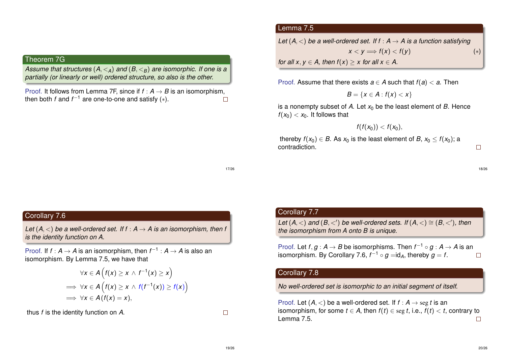## Theorem 7G

*Assume that structures* (*A*, <*A*) *and* (*B*, <*B*) *are isomorphic. If one is a partially (or linearly or well) ordered structure, so also is the other.*

Proof. It follows from Lemma 7F, since if  $f : A \rightarrow B$  is an isomorphism, then both  $f$  and  $f^{-1}$  are one-to-one and satisfy  $(*)$ .  $\Box$ 

#### Lemma 7.5

*Let*  $(A, \leq)$  *be a well-ordered set. If f* :  $A \rightarrow A$  *is a function satisfying*  $x < y \Longrightarrow f(x) < f(y)$  (\*) *for all x*,  $y \in A$ , *then*  $f(x) \ge x$  *for all*  $x \in A$ .

Proof. Assume that there exists  $a \in A$  such that  $f(a) < a$ . Then

$$
B=\{x\in A:f(x)
$$

is a nonempty subset of A. Let  $x_0$  be the least element of B. Hence  $f(x_0) < x_0$ . It follows that

$$
f(f(x_0)) < f(x_0),
$$

thereby  $f(x_0) \in B$ . As  $x_0$  is the least element of  $B$ ,  $x_0 \le f(x_0)$ ; a contradiction.

18/26

 $\Box$ 

#### 17/26

### Corollary 7.6

<span id="page-4-1"></span><span id="page-4-0"></span>*Let*  $(A, \leq)$  *be a well-ordered set. If f* :  $A \rightarrow A$  *is an isomorphism, then f is the identity function on A.*

Proof. If  $f : A \to A$  is an isomorphism, then  $f^{-1} : A \to A$  is also an isomorphism. By Le[mma](#page-4-1) 7.5, we have that

$$
\forall x \in A \left( f(x) \ge x \land f^{-1}(x) \ge x \right) \\
\implies \forall x \in A \left( f(x) \ge x \land f(f^{-1}(x)) \ge f(x) \right) \\
\implies \forall x \in A \left( f(x) = x \right),
$$

<span id="page-4-2"></span>thus *f* is the identity function on *A*.

 $\Box$ 

## Corollary 7.7

*Let*  $(A, <)$  *and*  $(B, <')$  *be well-ordered sets. If*  $(A, <) \cong (B, <')$ *, then the isomorphism from A onto B is unique.*

Proof. Let  $f, g : A \rightarrow B$  be isomorphisms. Then  $f^{-1} \circ g : A \rightarrow A$  is an isomorphism. By Corollary 7.6,  $f^{-1}\circ g=$ id<sub>A</sub>, thereby  $g=f.$  $\Box$ 

## Corollary 7.8

*No well-ordered set is isomorphic to an initial segment of itself.*

Proof. Let  $(A, <)$  be a well-ordered set. If  $f : A \rightarrow \text{seg } t$  is an isomorphism, for some  $t \in A$ , then  $f(t) \in \text{seg } t$ , i.e.,  $f(t) < t$ , contrary to Lemma 7.5.  $\Box$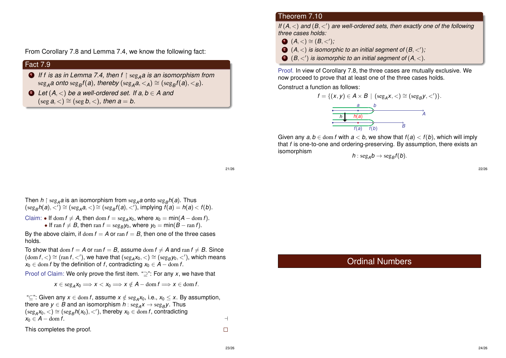From Corollary 7.8 and Lemma 7.4, we know the following fact:

### Fact 7.9

- **1** If f is as in Lemma 7.4, then f  $\upharpoonright$  seg<sub>A</sub>*a* is an isomorphism from  $\text{deg}_A a$  onto  $\text{deg}_B f(a)$ , thereby  $(\text{deg}_A a, <_A) \cong (\text{deg}_B f(a), <_B)$ .
- 2 *Let*  $(A, <)$  *be a well-ordered set. If a, b*  $\in$  *A and*  $(\text{seg } a, <) \cong (\text{seg } b, <)$ , then  $a = b$ .

#### Theorem 7.10

*If*  $(A, <)$  and  $(B, <')$  are well-ordered sets, then exactly one of the following *three cases holds:*

- **1**  $(A, <) \cong (B, <')$ ;
- $\bullet$   $(\mathsf{A},<)$  is isomorphic to an initial segment of  $(\mathsf{B},<')$ ;
- $\bullet$   $(\mathcal{B},<')$  is isomorphic to an initial segment of  $(\mathcal{A},<)$ .

Proof. In view of Corollary 7.8, the three cases are mutually exclusive. We now proceed to prove that at least one of the three cases holds.

Construct a function as follows:



Given any  $a, b \in \text{dom } f$  with  $a < b$ , we show that  $f(a) < f(b)$ , which will imply that *f* is one-to-one and ordering-preserving. By assumption, there exists an  $h: \mathrm{seg}_A b \to \mathrm{seg}_B f(b).$ 

21/26

Then  $h \upharpoonright \text{seg}_A a$  is an isomorphism from  $\text{seg}_A a$  onto  $\text{seg}_B h(a)$ . Thus  $(\text{seg}_B h(a), <') \cong (\text{seg}_A a, <) \cong (\text{seg}_B f(a), <')$ , implying  $f(a) = h(a) < f(b)$ .

Claim: • If dom  $f \neq A$ , then dom  $f = \text{seg}_A x_0$ , where  $x_0 = \min(A - \text{dom } f)$ .

• If  $\text{ran } f \neq B$ , then  $\text{ran } f = \text{seg}_B y_0$ , where  $y_0 = \text{min}(B - \text{ran } f)$ .

By the above claim, if  $\text{dom } f = A$  or  $\text{ran } f = B$ , then one of the three cases holds.

To show that dom  $f = A$  or ran  $f = B$ , assume dom  $f \neq A$  and ran  $f \neq B$ . Since  $(\text{dom } f, <) \cong (\text{ran } f, <')$  $(\text{dom } f, <) \cong (\text{ran } f, <')$  $(\text{dom } f, <) \cong (\text{ran } f, <')$ , we have that  $(\text{seg}_A x_0, <) \cong (\text{seg}_B y_0, <')$ , which means  $x_0 \in \text{dom } f$  by the definition of *f*, contradicting  $x_0 \in A - \text{dom } f$ .

Proof of Claim: We only prove the first item. "⊇": For any *x*, we have that

 $x \in \text{seg}_A x_0 \Longrightarrow x < x_0 \Longrightarrow x \notin A - \text{dom } f \Longrightarrow x \in \text{dom } f.$ 

"⊆": Given any *x* ∈ dom *f*, assume *x* ∈/ seg*<sup>A</sup> x*0, i.e., *x*<sup>0</sup> ≤ *x*. By assumption, there are  $y \in B$  and an isomorphism  $h$  :  $\mathrm{seg}_{A}x \rightarrow \mathrm{seg}_{B}y.$  Thus  $(\text{seg}_A x_0, <) \cong (\text{seg}_B h(x_0), <')$ , thereby  $x_0 \in \text{dom } f$ , contradicting  $x_0 \in A - \text{dom } f$ .

This completes the proof.

Ordinal Numbers

 $\Box$ 

22/26